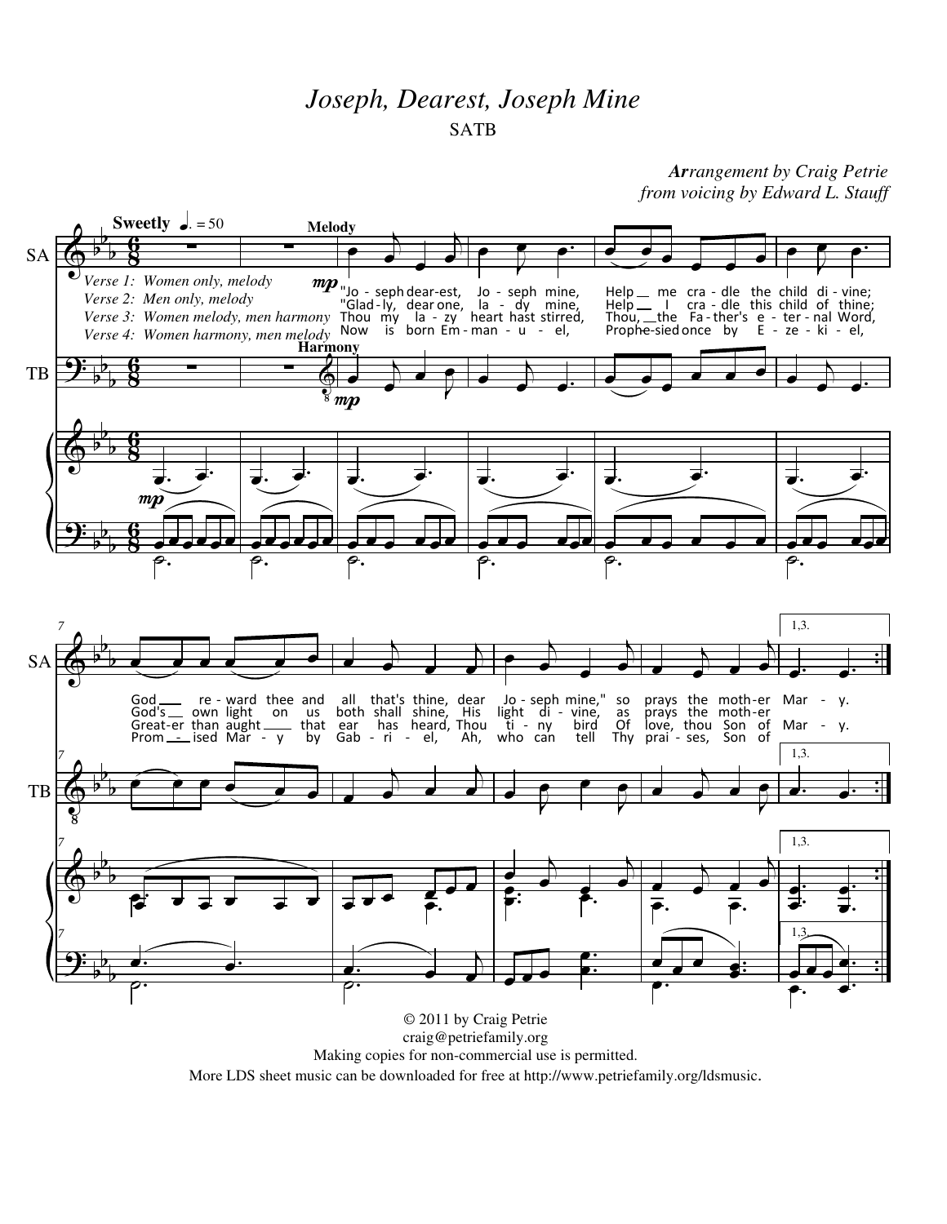## *Joseph, Dearest, Joseph Mine* SATB

## *Arrangement by Craig Petrie from voicing by Edward L. Stauff*



More LDS sheet music can be downloaded for free at http://www.petriefamily.org/ldsmusic.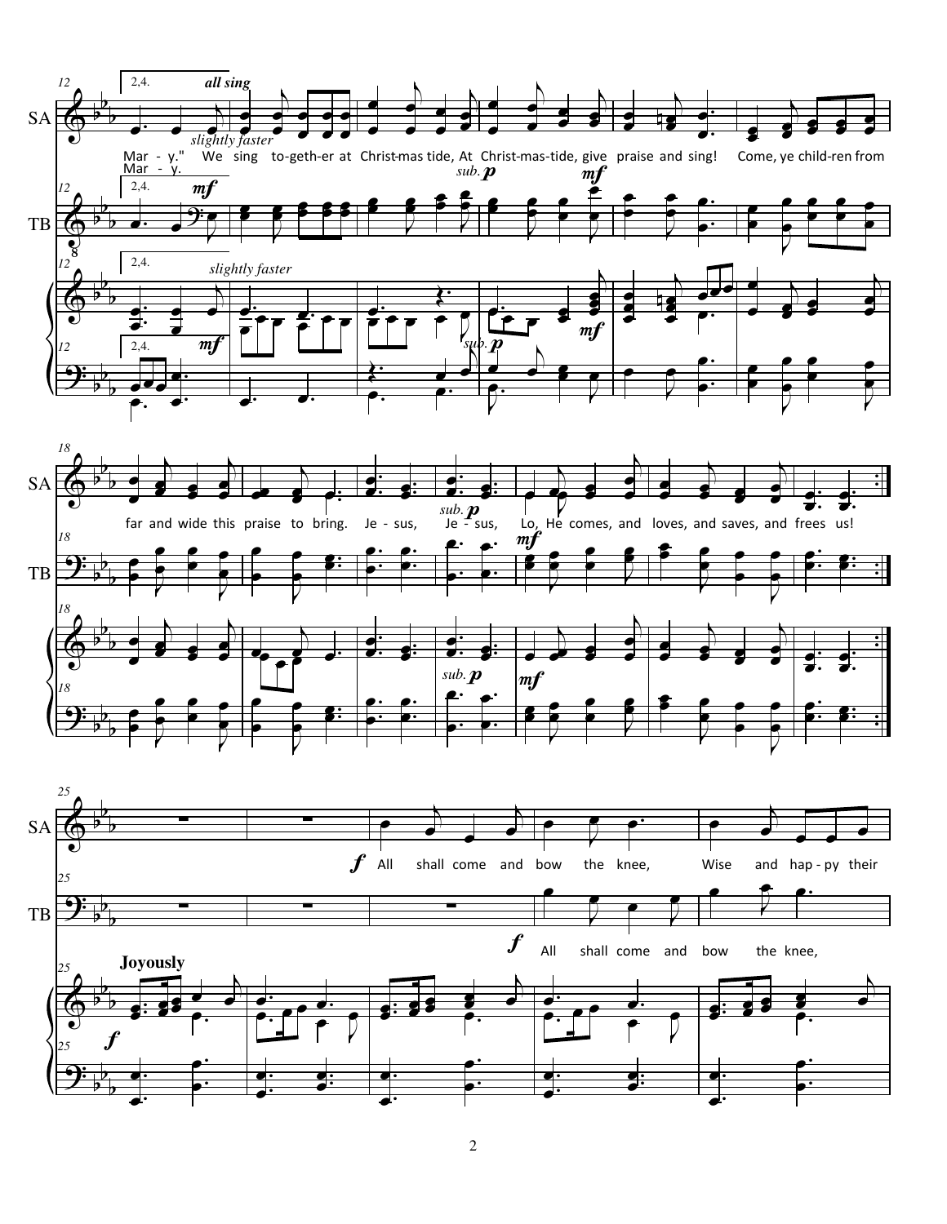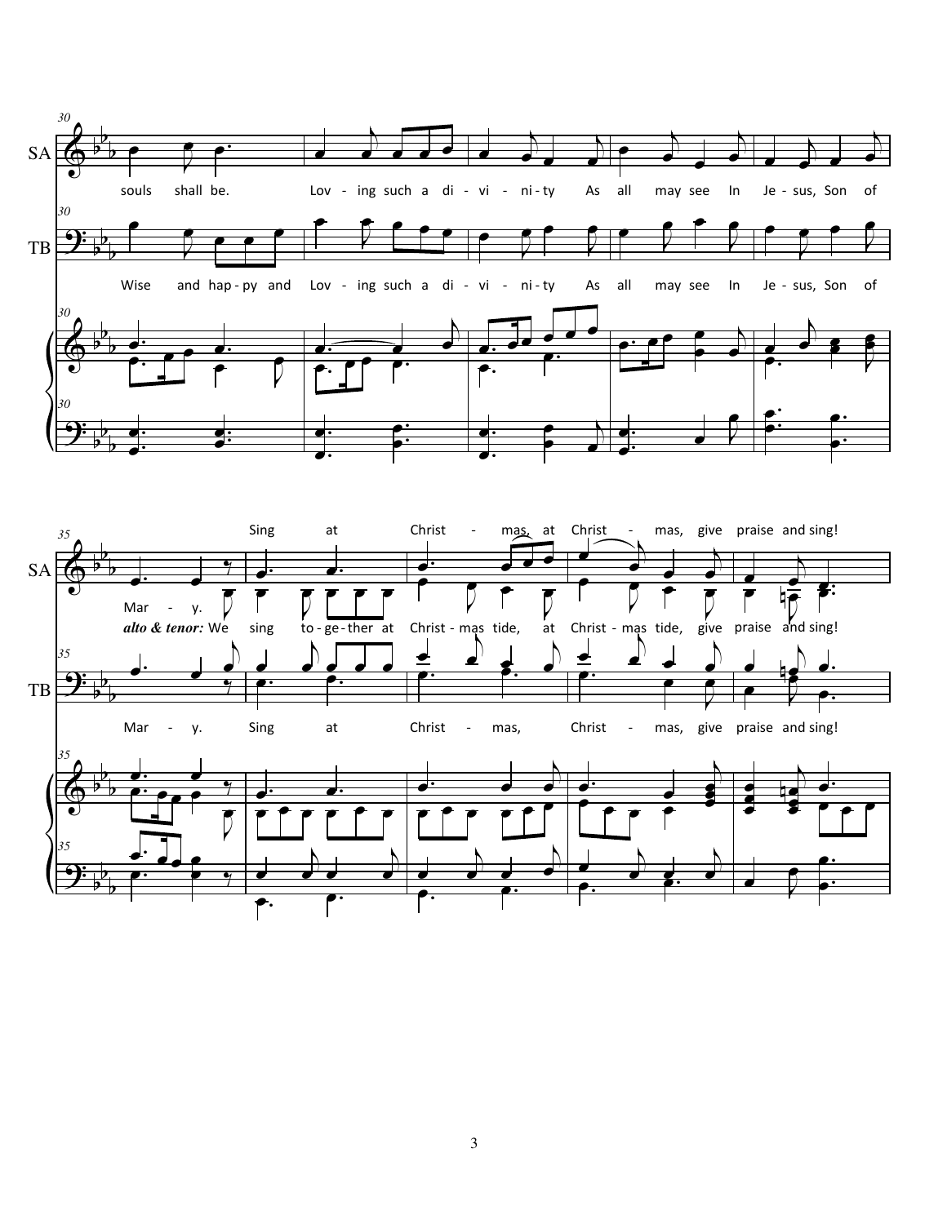



3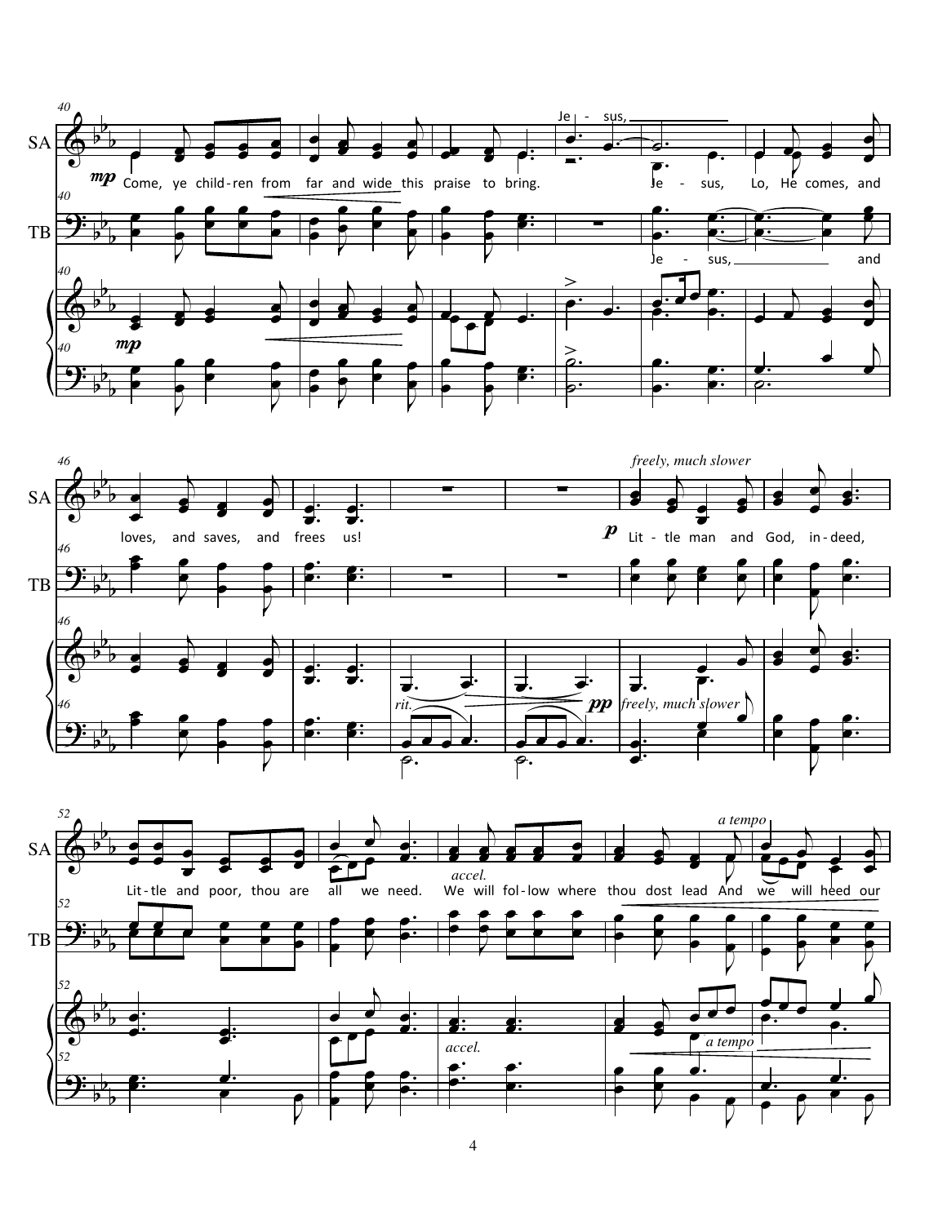



4